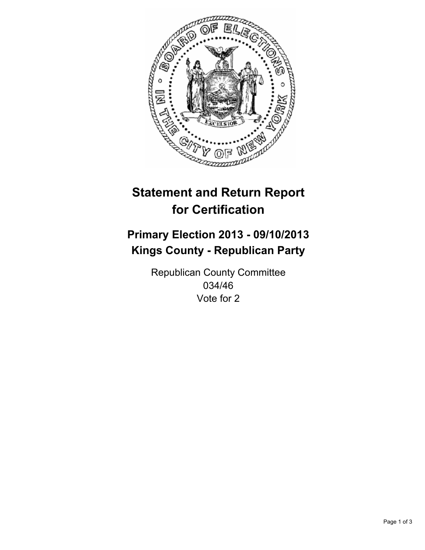

# **Statement and Return Report for Certification**

## **Primary Election 2013 - 09/10/2013 Kings County - Republican Party**

Republican County Committee 034/46 Vote for 2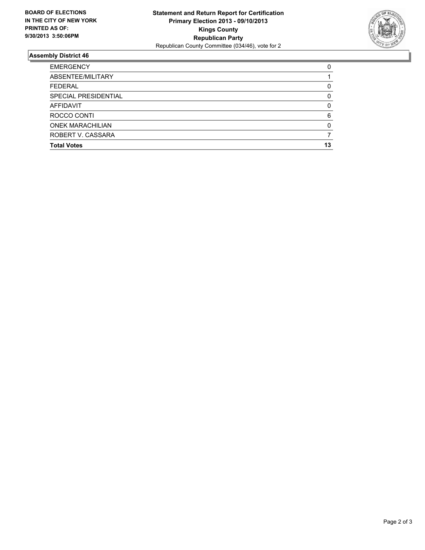

### **Assembly District 46**

| <b>EMERGENCY</b>        | 0            |
|-------------------------|--------------|
| ABSENTEE/MILITARY       |              |
| <b>FEDERAL</b>          | 0            |
| SPECIAL PRESIDENTIAL    | 0            |
| <b>AFFIDAVIT</b>        | 0            |
| ROCCO CONTI             | 6            |
| <b>ONEK MARACHILIAN</b> | <sup>0</sup> |
| ROBERT V. CASSARA       |              |
| <b>Total Votes</b>      | 13           |